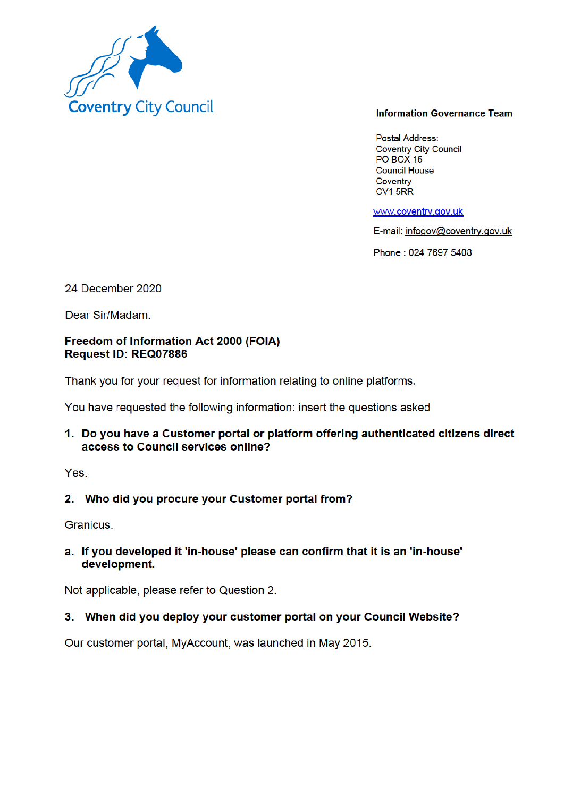

#### **Information Governance Team**

**Postal Address: Coventry City Council** PO BOX 15 **Council House** Coventry CV1 5RR

www.coventry.gov.uk

E-mail: infogov@coventry.gov.uk

Phone: 024 7697 5408

24 December 2020

Dear Sir/Madam.

#### Freedom of Information Act 2000 (FOIA) Request ID: REQ07886

Thank you for your request for information relating to online platforms.

You have requested the following information: insert the questions asked

# 1. Do you have a Customer portal or platform offering authenticated citizens direct access to Council services online?

Yes.

# 2. Who did you procure your Customer portal from?

**Granicus** 

# a. If you developed it 'in-house' please can confirm that it is an 'in-house' development.

Not applicable, please refer to Question 2.

# 3. When did you deploy your customer portal on your Council Website?

Our customer portal, MyAccount, was launched in May 2015.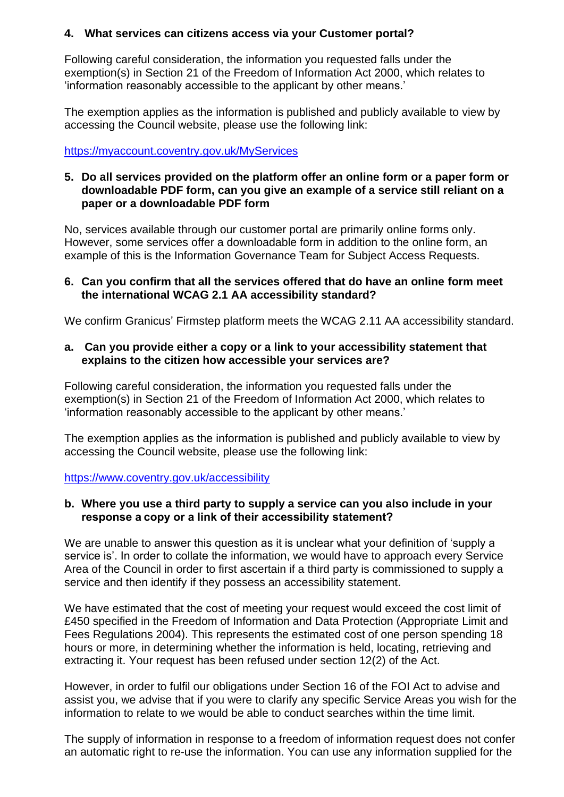# **4. What services can citizens access via your Customer portal?**

Following careful consideration, the information you requested falls under the exemption(s) in Section 21 of the Freedom of Information Act 2000, which relates to 'information reasonably accessible to the applicant by other means.'

The exemption applies as the information is published and publicly available to view by accessing the Council website, please use the following link:

https://myaccount.coventry.gov.uk/MyServices

# **5. Do all services provided on the platform offer an online form or a paper form or downloadable PDF form, can you give an example of a service still reliant on a paper or a downloadable PDF form**

No, services available through our customer portal are primarily online forms only. However, some services offer a downloadable form in addition to the online form, an example of this is the Information Governance Team for Subject Access Requests.

### **6. Can you confirm that all the services offered that do have an online form meet the international WCAG 2.1 AA accessibility standard?**

We confirm Granicus' Firmstep platform meets the WCAG 2.11 AA accessibility standard.

# **a. Can you provide either a copy or a link to your accessibility statement that explains to the citizen how accessible your services are?**

Following careful consideration, the information you requested falls under the exemption(s) in Section 21 of the Freedom of Information Act 2000, which relates to 'information reasonably accessible to the applicant by other means.'

The exemption applies as the information is published and publicly available to view by accessing the Council website, please use the following link:

https://www.coventry.gov.uk/accessibility

# **b. Where you use a third party to supply a service can you also include in your response a copy or a link of their accessibility statement?**

We are unable to answer this question as it is unclear what your definition of 'supply a service is'. In order to collate the information, we would have to approach every Service Area of the Council in order to first ascertain if a third party is commissioned to supply a service and then identify if they possess an accessibility statement.

We have estimated that the cost of meeting your request would exceed the cost limit of £450 specified in the Freedom of Information and Data Protection (Appropriate Limit and Fees Regulations 2004). This represents the estimated cost of one person spending 18 hours or more, in determining whether the information is held, locating, retrieving and extracting it. Your request has been refused under section 12(2) of the Act.

However, in order to fulfil our obligations under Section 16 of the FOI Act to advise and assist you, we advise that if you were to clarify any specific Service Areas you wish for the information to relate to we would be able to conduct searches within the time limit.

The supply of information in response to a freedom of information request does not confer an automatic right to re-use the information. You can use any information supplied for the